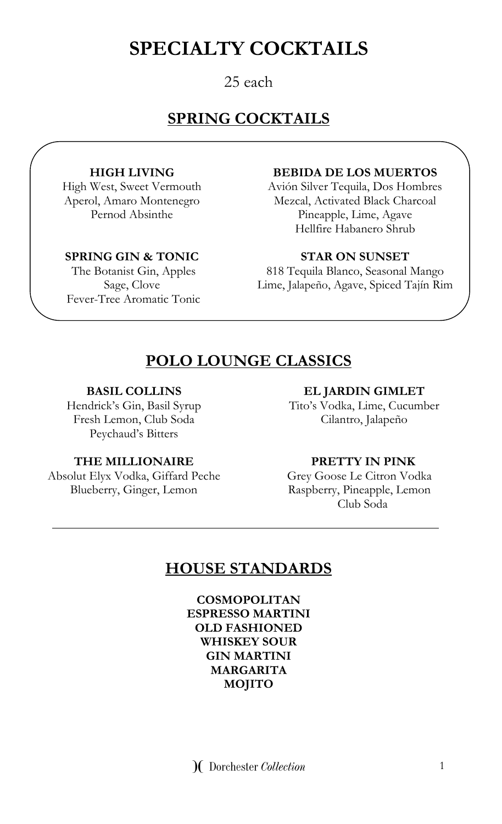# **SPECIALTY COCKTAILS**

### 25 each

### **SPRING COCKTAILS**

#### **HIGH LIVING**

High West, Sweet Vermouth Aperol, Amaro Montenegro Pernod Absinthe

#### **SPRING GIN & TONIC**

The Botanist Gin, Apples Sage, Clove Fever-Tree Aromatic Tonic

#### **BEBIDA DE LOS MUERTOS**

Avión Silver Tequila, Dos Hombres Mezcal, Activated Black Charcoal Pineapple, Lime, Agave Hellfire Habanero Shrub

#### **STAR ON SUNSET**

818 Tequila Blanco, Seasonal Mango Lime, Jalapeño, Agave, Spiced Tajín Rim

### **POLO LOUNGE CLASSICS**

#### **BASIL COLLINS**

Hendrick's Gin, Basil Syrup Fresh Lemon, Club Soda Peychaud's Bitters

#### **THE MILLIONAIRE PRETTY IN PINK**

Absolut Elyx Vodka, Giffard Peche Blueberry, Ginger, Lemon

#### **EL JARDIN GIMLET**

Tito's Vodka, Lime, Cucumber Cilantro, Jalapeño

Grey Goose Le Citron Vodka Raspberry, Pineapple, Lemon Club Soda

### **HOUSE STANDARDS**

**COSMOPOLITAN ESPRESSO MARTINI OLD FASHIONED WHISKEY SOUR GIN MARTINI MARGARITA MOJITO**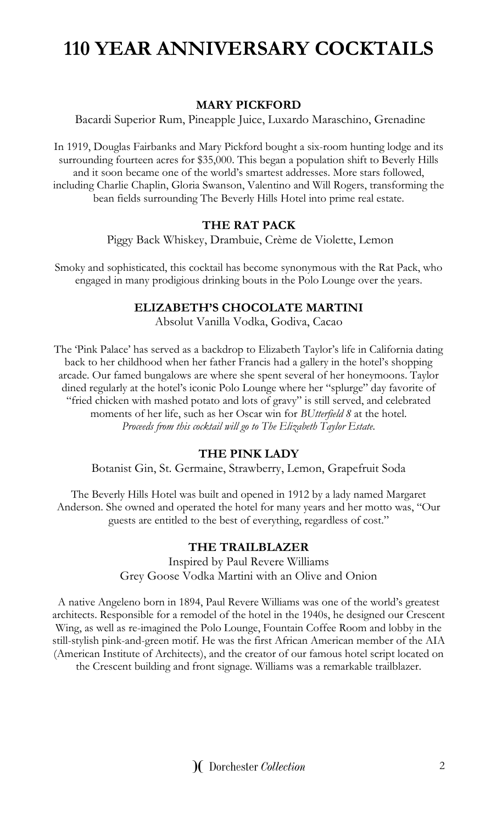# **110 YEAR ANNIVERSARY COCKTAILS**

#### **MARY PICKFORD**

Bacardi Superior Rum, Pineapple Juice, Luxardo Maraschino, Grenadine

In 1919, Douglas Fairbanks and Mary Pickford bought a six-room hunting lodge and its surrounding fourteen acres for \$35,000. This began a population shift to Beverly Hills and it soon became one of the world's smartest addresses. More stars followed, including Charlie Chaplin, Gloria Swanson, Valentino and Will Rogers, transforming the bean fields surrounding The Beverly Hills Hotel into prime real estate.

#### **THE RAT PACK**

Piggy Back Whiskey, Drambuie, Crème de Violette, Lemon

Smoky and sophisticated, this cocktail has become synonymous with the Rat Pack, who engaged in many prodigious drinking bouts in the Polo Lounge over the years.

#### **ELIZABETH'S CHOCOLATE MARTINI**

Absolut Vanilla Vodka, Godiva, Cacao

The 'Pink Palace' has served as a backdrop to Elizabeth Taylor's life in California dating back to her childhood when her father Francis had a gallery in the hotel's shopping arcade. Our famed bungalows are where she spent several of her honeymoons. Taylor dined regularly at the hotel's iconic Polo Lounge where her "splurge" day favorite of "fried chicken with mashed potato and lots of gravy" is still served, and celebrated moments of her life, such as her Oscar win for *BUtterfield 8* at the hotel. *Proceeds from this cocktail will go to The Elizabeth Taylor Estate.*

#### **THE PINK LADY**

Botanist Gin, St. Germaine, Strawberry, Lemon, Grapefruit Soda

The Beverly Hills Hotel was built and opened in 1912 by a lady named Margaret Anderson. She owned and operated the hotel for many years and her motto was, "Our guests are entitled to the best of everything, regardless of cost."

#### **THE TRAILBLAZER**

Inspired by Paul Revere Williams Grey Goose Vodka Martini with an Olive and Onion

A native Angeleno born in 1894, Paul Revere Williams was one of the world's greatest architects. Responsible for a remodel of the hotel in the 1940s, he designed our Crescent Wing, as well as re-imagined the Polo Lounge, Fountain Coffee Room and lobby in the still-stylish pink-and-green motif. He was the first African American member of the AIA (American Institute of Architects), and the creator of our famous hotel script located on the Crescent building and front signage. Williams was a remarkable trailblazer.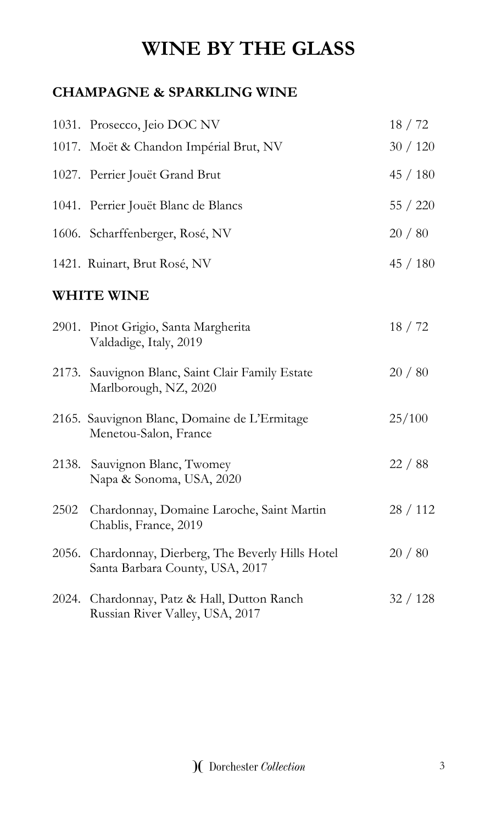# **WINE BY THE GLASS**

### **CHAMPAGNE & SPARKLING WINE**

|       | 1031. Prosecco, Jeio DOC NV                                                            | 18/72    |
|-------|----------------------------------------------------------------------------------------|----------|
|       | 1017. Moët & Chandon Impérial Brut, NV                                                 | 30/120   |
|       | 1027. Perrier Jouët Grand Brut                                                         | 45/180   |
|       | 1041. Perrier Jouët Blanc de Blancs                                                    | 55 / 220 |
|       | 1606. Scharffenberger, Rosé, NV                                                        | 20/80    |
|       | 1421. Ruinart, Brut Rosé, NV                                                           | 45 / 180 |
|       | <b>WHITE WINE</b>                                                                      |          |
|       | 2901. Pinot Grigio, Santa Margherita<br>Valdadige, Italy, 2019                         | 18/72    |
|       | 2173. Sauvignon Blanc, Saint Clair Family Estate<br>Marlborough, NZ, 2020              | 20/80    |
|       | 2165. Sauvignon Blanc, Domaine de L'Ermitage<br>Menetou-Salon, France                  | 25/100   |
|       | 2138. Sauvignon Blanc, Twomey<br>Napa & Sonoma, USA, 2020                              | 22 / 88  |
| 2502  | Chardonnay, Domaine Laroche, Saint Martin<br>Chablis, France, 2019                     | 28/112   |
|       | 2056. Chardonnay, Dierberg, The Beverly Hills Hotel<br>Santa Barbara County, USA, 2017 | 20/80    |
| 2024. | Chardonnay, Patz & Hall, Dutton Ranch<br>Russian River Valley, USA, 2017               | 32/128   |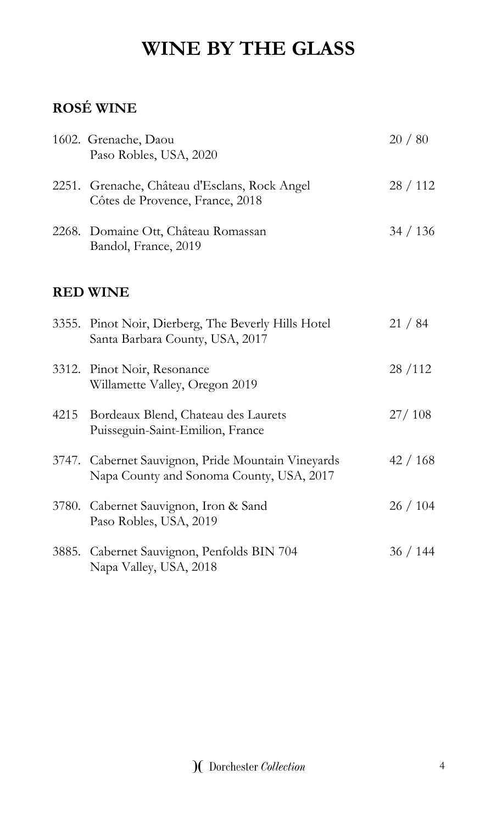# **WINE BY THE GLASS**

# **ROSÉ WINE**

|       | 1602. Grenache, Daou<br>Paso Robles, USA, 2020                                                 | 20/80    |
|-------|------------------------------------------------------------------------------------------------|----------|
|       | 2251. Grenache, Château d'Esclans, Rock Angel<br>Côtes de Provence, France, 2018               | 28/112   |
|       | 2268. Domaine Ott, Château Romassan<br>Bandol, France, 2019                                    | 34 / 136 |
|       | <b>RED WINE</b>                                                                                |          |
|       | 3355. Pinot Noir, Dierberg, The Beverly Hills Hotel<br>Santa Barbara County, USA, 2017         | 21 / 84  |
|       | 3312. Pinot Noir, Resonance<br>Willamette Valley, Oregon 2019                                  | 28/112   |
|       | 4215 Bordeaux Blend, Chateau des Laurets<br>Puisseguin-Saint-Emilion, France                   | 27/108   |
|       | 3747. Cabernet Sauvignon, Pride Mountain Vineyards<br>Napa County and Sonoma County, USA, 2017 | 42/168   |
|       | 3780. Cabernet Sauvignon, Iron & Sand<br>Paso Robles, USA, 2019                                | 26/104   |
| 3885. | Cabernet Sauvignon, Penfolds BIN 704<br>Napa Valley, USA, 2018                                 | 36/144   |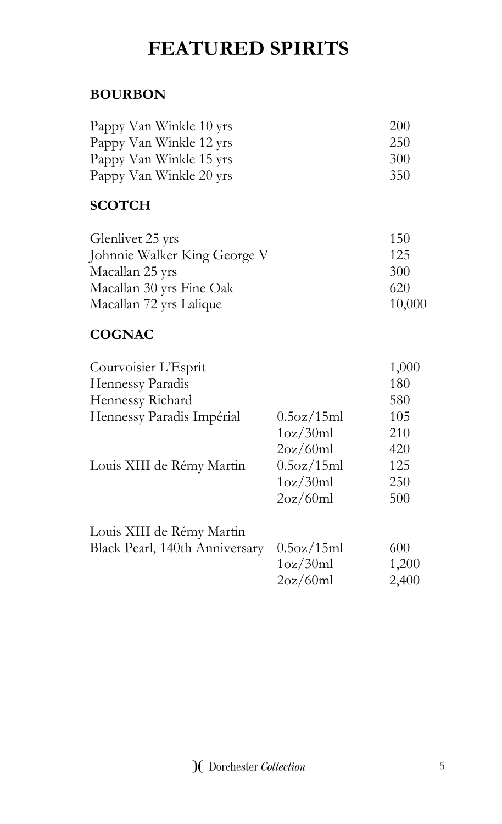# **FEATURED SPIRITS**

### **BOURBON**

| Pappy Van Winkle 10 yrs | <b>200</b> |
|-------------------------|------------|
| Pappy Van Winkle 12 yrs | 250        |
| Pappy Van Winkle 15 yrs | 300        |
| Pappy Van Winkle 20 yrs | 350        |

### **SCOTCH**

| Glenlivet 25 yrs             | 150    |
|------------------------------|--------|
| Johnnie Walker King George V | 125    |
| Macallan 25 yrs              | 300    |
| Macallan 30 yrs Fine Oak     | 620    |
| Macallan 72 yrs Lalique      | 10,000 |

### **COGNAC**

| Courvoisier L'Esprit           |            | 1,000 |
|--------------------------------|------------|-------|
| Hennessy Paradis               |            | 180   |
| Hennessy Richard               |            | 580   |
| Hennessy Paradis Impérial      | 0.5oz/15ml | 105   |
|                                | 1oz/30ml   | 210   |
|                                | 2oz/60ml   | 420   |
| Louis XIII de Rémy Martin      | 0.5oz/15ml | 125   |
|                                | 1oz/30ml   | 250   |
|                                | 2oz/60ml   | 500   |
| Louis XIII de Rémy Martin      |            |       |
| Black Pearl, 140th Anniversary | 0.5oz/15ml | 600   |
|                                | 1oz/30ml   | 1,200 |
|                                | 2oz/60ml   | 2,400 |
|                                |            |       |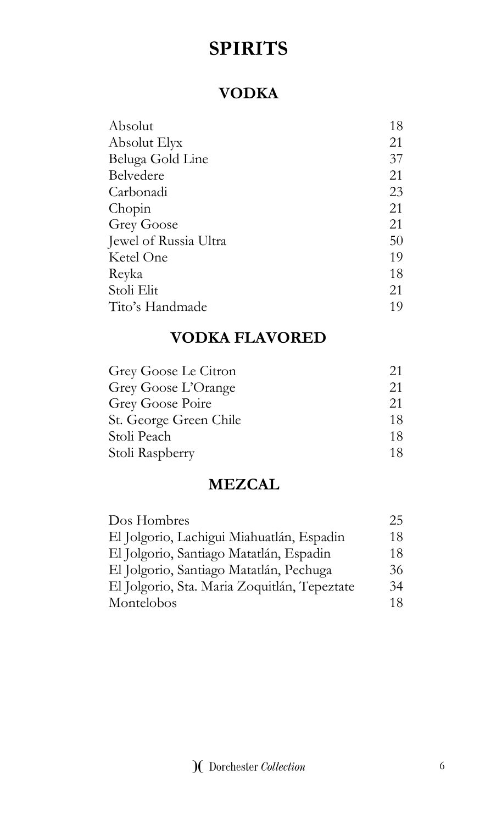### **VODKA**

| Absolut               | 18 |
|-----------------------|----|
| Absolut Elyx          | 21 |
| Beluga Gold Line      | 37 |
| Belvedere             | 21 |
| Carbonadi             | 23 |
| Chopin                | 21 |
| <b>Grey Goose</b>     | 21 |
| Jewel of Russia Ultra | 50 |
| Ketel One             | 19 |
| Reyka                 | 18 |
| Stoli Elit            | 21 |
| Tito's Handmade       | 19 |

### **VODKA FLAVORED**

| Grey Goose Le Citron   | 21 |
|------------------------|----|
| Grey Goose L'Orange    | 21 |
| Grey Goose Poire       | 21 |
| St. George Green Chile | 18 |
| Stoli Peach            | 18 |
| Stoli Raspberry        | 18 |

### **MEZCAL**

| Dos Hombres                                  | 25 |
|----------------------------------------------|----|
| El Jolgorio, Lachigui Miahuatlán, Espadin    | 18 |
| El Jolgorio, Santiago Matatlán, Espadin      | 18 |
| El Jolgorio, Santiago Matatlán, Pechuga      | 36 |
| El Jolgorio, Sta. Maria Zoquitlán, Tepeztate | 34 |
| Montelobos                                   | 18 |
|                                              |    |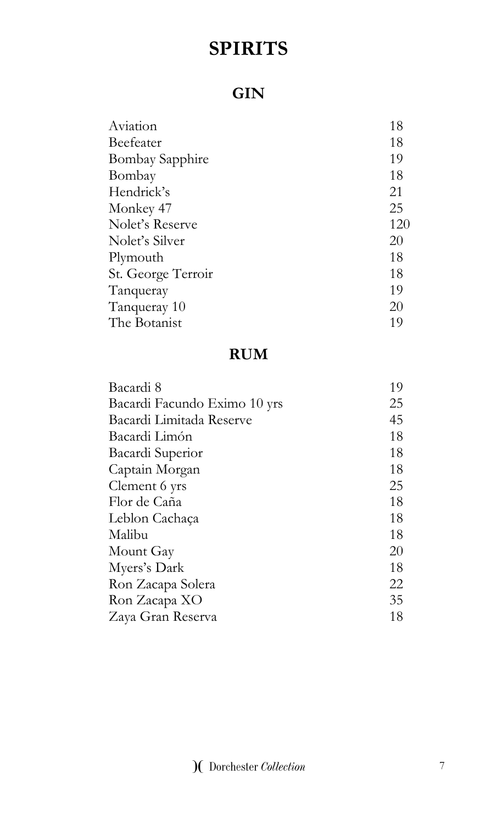## **GIN**

| 18  |
|-----|
| 18  |
| 19  |
| 18  |
| 21  |
| 25  |
| 120 |
| 20  |
| 18  |
| 18  |
| 19  |
| 20  |
| 19  |
|     |

# **RUM**

| Bacardi 8                    | 19 |
|------------------------------|----|
| Bacardi Facundo Eximo 10 yrs | 25 |
| Bacardi Limitada Reserve     | 45 |
| Bacardi Limón                | 18 |
| Bacardi Superior             | 18 |
| Captain Morgan               | 18 |
| Clement 6 yrs                | 25 |
| Flor de Caña                 | 18 |
| Leblon Cachaça               | 18 |
| Malibu                       | 18 |
| Mount Gay                    | 20 |
| Myers's Dark                 | 18 |
| Ron Zacapa Solera            | 22 |
| Ron Zacapa XO                | 35 |
| Zaya Gran Reserva            | 18 |
|                              |    |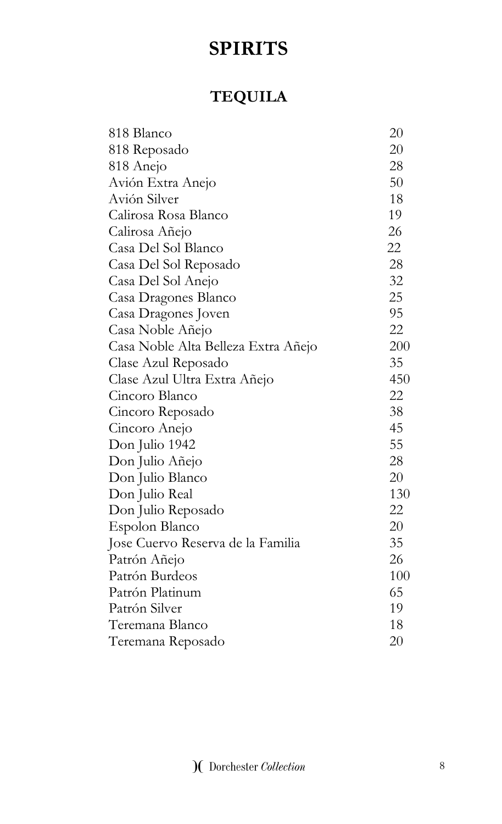# **TEQUILA**

| 818 Blanco                          | 20  |
|-------------------------------------|-----|
| 818 Reposado                        | 20  |
| 818 Anejo                           | 28  |
| Avión Extra Anejo                   | 50  |
| Avión Silver                        | 18  |
| Calirosa Rosa Blanco                | 19  |
| Calirosa Añejo                      | 26  |
| Casa Del Sol Blanco                 | 22  |
| Casa Del Sol Reposado               | 28  |
| Casa Del Sol Anejo                  | 32  |
| Casa Dragones Blanco                | 25  |
| Casa Dragones Joven                 | 95  |
| Casa Noble Añejo                    | 22  |
| Casa Noble Alta Belleza Extra Añejo | 200 |
| Clase Azul Reposado                 | 35  |
| Clase Azul Ultra Extra Añejo        | 450 |
| Cincoro Blanco                      | 22  |
| Cincoro Reposado                    | 38  |
| Cincoro Anejo                       | 45  |
| Don Julio 1942                      | 55  |
| Don Julio Añejo                     | 28  |
| Don Julio Blanco                    | 20  |
| Don Julio Real                      | 130 |
| Don Julio Reposado                  | 22  |
| Espolon Blanco                      | 20  |
| Jose Cuervo Reserva de la Familia   | 35  |
| Patrón Añejo                        | 26  |
| Patrón Burdeos                      | 100 |
| Patrón Platinum                     | 65  |
| Patrón Silver                       | 19  |
| Teremana Blanco                     | 18  |
| Teremana Reposado                   | 20  |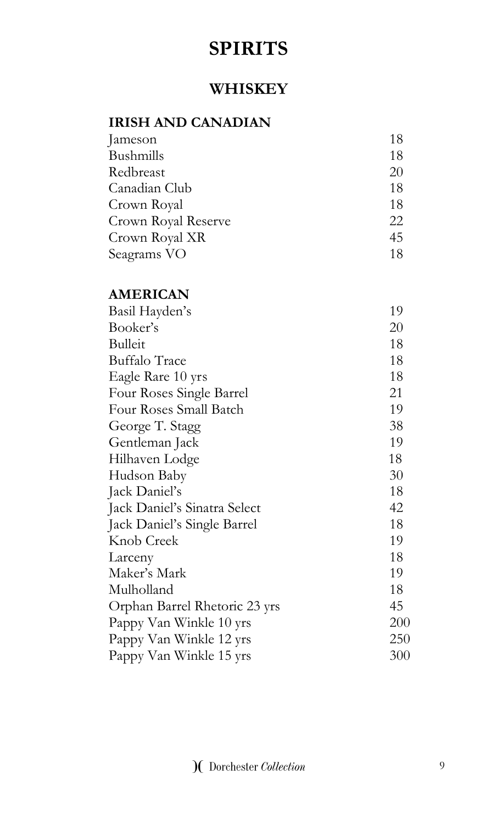### **WHISKEY**

### **IRISH AND CANADIAN**

| Jameson             | 18 |
|---------------------|----|
| Bushmills           | 18 |
| Redbreast           | 20 |
| Canadian Club       | 18 |
| Crown Royal         | 18 |
| Crown Royal Reserve | 22 |
| Crown Royal XR      | 45 |
| Seagrams VO         | 18 |

### **AMERICAN**

| Basil Hayden's                | 19  |
|-------------------------------|-----|
| Booker's                      | 20  |
| <b>Bulleit</b>                | 18  |
| <b>Buffalo Trace</b>          | 18  |
| Eagle Rare 10 yrs             | 18  |
| Four Roses Single Barrel      | 21  |
| Four Roses Small Batch        | 19  |
| George T. Stagg               | 38  |
| Gentleman Jack                | 19  |
| Hilhaven Lodge                | 18  |
| Hudson Baby                   | 30  |
| Jack Daniel's                 | 18  |
| Jack Daniel's Sinatra Select  | 42  |
| Jack Daniel's Single Barrel   | 18  |
| Knob Creek                    | 19  |
| Larceny                       | 18  |
| Maker's Mark                  | 19  |
| Mulholland                    | 18  |
| Orphan Barrel Rhetoric 23 yrs | 45  |
| Pappy Van Winkle 10 yrs       | 200 |
| Pappy Van Winkle 12 yrs       | 250 |
| Pappy Van Winkle 15 yrs       | 300 |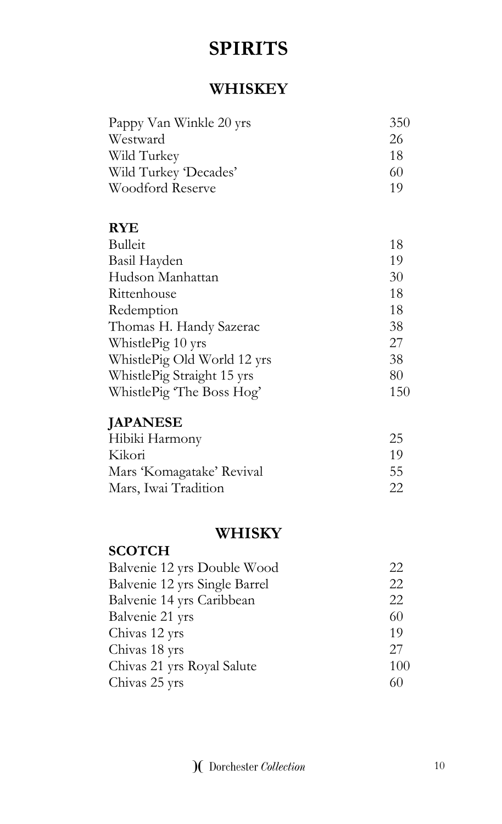### **WHISKEY**

| Pappy Van Winkle 20 yrs | 350 |
|-------------------------|-----|
| Westward                | 26  |
| Wild Turkey             | 18  |
| Wild Turkey 'Decades'   | 60  |
| Woodford Reserve        | 1 Q |

### **RYE**

| <b>Bulleit</b>              | 18  |
|-----------------------------|-----|
| Basil Hayden                | 19  |
| Hudson Manhattan            | 30  |
| Rittenhouse                 | 18  |
| Redemption                  | 18  |
| Thomas H. Handy Sazerac     | 38  |
| WhistlePig 10 yrs           | 27  |
| WhistlePig Old World 12 yrs | 38  |
| WhistlePig Straight 15 yrs  | 80  |
| WhistlePig The Boss Hog'    | 150 |

### **JAPANESE**

| Hibiki Harmony            | 25  |
|---------------------------|-----|
| Kikori                    | 1 Q |
| Mars 'Komagatake' Revival | 55  |
| Mars, Iwai Tradition      | 22  |

### **WHISKY**

### **SCOTCH**

| Balvenie 12 yrs Double Wood   | 22  |
|-------------------------------|-----|
| Balvenie 12 yrs Single Barrel | 22  |
| Balvenie 14 yrs Caribbean     | 22  |
| Balvenie 21 yrs               | 60  |
| Chivas 12 yrs                 | 19  |
| Chivas 18 yrs                 | 27  |
| Chivas 21 yrs Royal Salute    | 100 |
| Chivas 25 yrs                 | 60  |
|                               |     |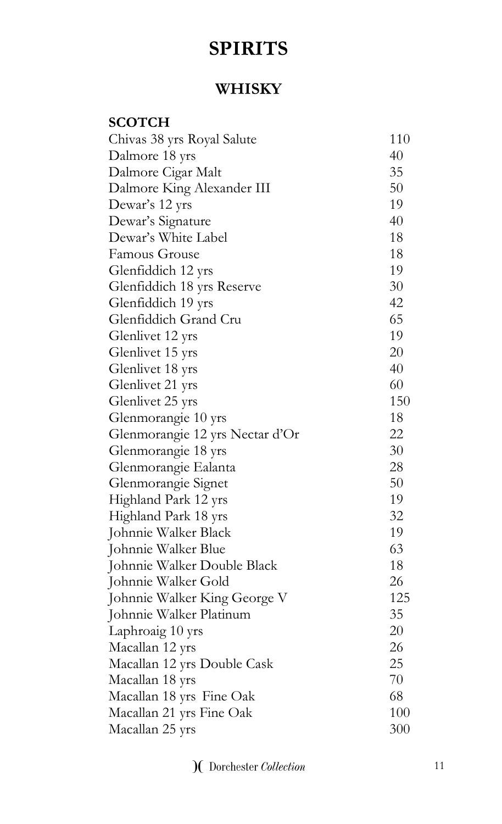### **WHISKY**

| <b>SCOTCH</b>                   |     |
|---------------------------------|-----|
| Chivas 38 yrs Royal Salute      | 110 |
| Dalmore 18 yrs                  | 40  |
| Dalmore Cigar Malt              | 35  |
| Dalmore King Alexander III      | 50  |
| Dewar's 12 yrs                  | 19  |
| Dewar's Signature               | 40  |
| Dewar's White Label             | 18  |
| Famous Grouse                   | 18  |
| Glenfiddich 12 yrs              | 19  |
| Glenfiddich 18 yrs Reserve      | 30  |
| Glenfiddich 19 yrs              | 42  |
| Glenfiddich Grand Cru           | 65  |
| Glenlivet 12 yrs                | 19  |
| Glenlivet 15 yrs                | 20  |
| Glenlivet 18 yrs                | 40  |
| Glenlivet 21 yrs                | 60  |
| Glenlivet 25 yrs                | 150 |
| Glenmorangie 10 yrs             | 18  |
| Glenmorangie 12 yrs Nectar d'Or | 22  |
| Glenmorangie 18 yrs             | 30  |
| Glenmorangie Ealanta            | 28  |
| Glenmorangie Signet             | 50  |
| Highland Park 12 yrs            | 19  |
| Highland Park 18 yrs            | 32  |
| Johnnie Walker Black            | 19  |
| Johnnie Walker Blue             | 63  |
| Johnnie Walker Double Black     | 18  |
| Johnnie Walker Gold             | 26  |
| Johnnie Walker King George V    | 125 |
| Johnnie Walker Platinum         | 35  |
| Laphroaig 10 yrs                | 20  |
| Macallan 12 yrs                 | 26  |
| Macallan 12 yrs Double Cask     | 25  |
| Macallan 18 yrs                 | 70  |
| Macallan 18 yrs Fine Oak        | 68  |
| Macallan 21 yrs Fine Oak        | 100 |
| Macallan 25 yrs                 | 300 |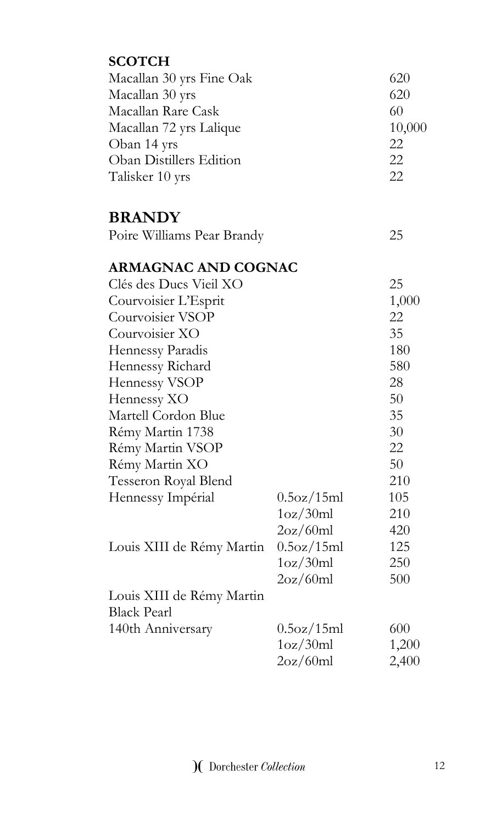| <b>SCOTCH</b>                  |            |            |
|--------------------------------|------------|------------|
| Macallan 30 yrs Fine Oak       |            | 620        |
| Macallan 30 yrs                |            | 620        |
| Macallan Rare Cask             |            | 60         |
| Macallan 72 yrs Lalique        |            | 10,000     |
| Oban 14 yrs                    |            | 22         |
| <b>Oban Distillers Edition</b> |            | 22         |
| Talisker 10 yrs                |            | 22         |
| <b>BRANDY</b>                  |            |            |
| Poire Williams Pear Brandy     |            | 25         |
| <b>ARMAGNAC AND COGNAC</b>     |            |            |
| Clés des Ducs Vieil XO         |            | 25         |
| Courvoisier L'Esprit           |            | 1,000      |
| Courvoisier VSOP               |            | 22         |
| Courvoisier XO                 |            | 35         |
| Hennessy Paradis               |            | 180        |
| Hennessy Richard               |            | 580        |
| Hennessy VSOP                  |            | 28         |
| Hennessy XO                    |            | 50         |
| Martell Cordon Blue            |            | 35         |
| Rémy Martin 1738               |            | 30         |
| Rémy Martin VSOP               |            | 22         |
| Rémy Martin XO                 |            | 50         |
| Tesseron Royal Blend           |            | 210        |
| Hennessy Impérial              | 0.5oz/15ml | 105        |
|                                | 1oz/30ml   | 210        |
|                                | 2oz/60ml   | 420        |
| Louis XIII de Rémy Martin      | 0.5oz/15ml | 125        |
|                                | 1oz/30ml   | <b>250</b> |
|                                | 2oz/60ml   | 500        |
| Louis XIII de Rémy Martin      |            |            |
| <b>Black Pearl</b>             |            |            |
| 140th Anniversary              | 0.5oz/15ml | 600        |
|                                | 1oz/30ml   | 1,200      |
|                                | 2oz/60ml   | 2,400      |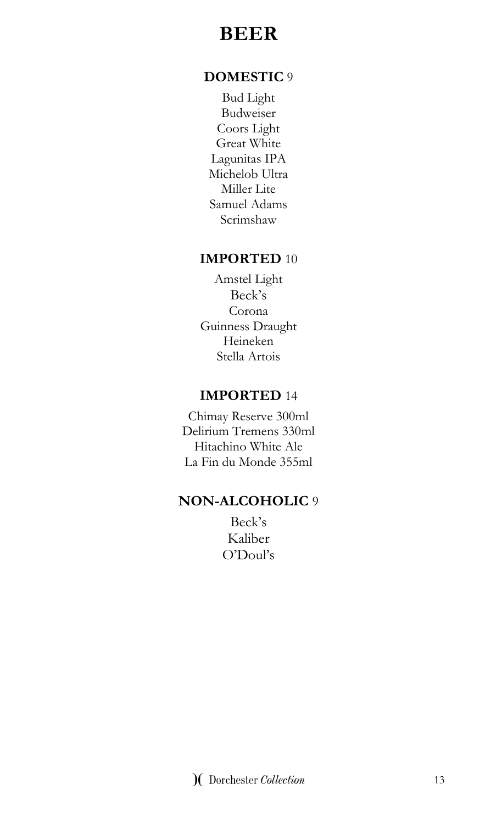# **BEER**

#### **DOMESTIC** 9

Bud Light Budweiser Coors Light Great White Lagunitas IPA Michelob Ultra Miller Lite Samuel Adams Scrimshaw

#### **IMPORTED** 10

Amstel Light Beck's Corona Guinness Draught Heineken Stella Artois

#### **IMPORTED** 14

Chimay Reserve 300ml Delirium Tremens 330ml Hitachino White Ale La Fin du Monde 355ml

#### **NON-ALCOHOLIC** 9

Beck's Kaliber O'Doul's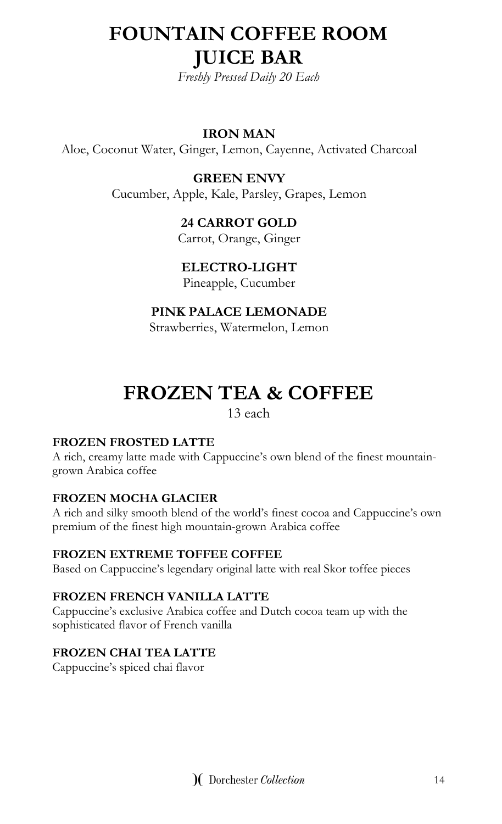# **FOUNTAIN COFFEE ROOM JUICE BAR**

*Freshly Pressed Daily 20 Each* 

#### **IRON MAN**

Aloe, Coconut Water, Ginger, Lemon, Cayenne, Activated Charcoal

**GREEN ENVY** Cucumber, Apple, Kale, Parsley, Grapes, Lemon

### **24 CARROT GOLD**

Carrot, Orange, Ginger

#### **ELECTRO-LIGHT**

Pineapple, Cucumber

#### **PINK PALACE LEMONADE**

Strawberries, Watermelon, Lemon

# **FROZEN TEA & COFFEE**

13 each

#### **FROZEN FROSTED LATTE**

A rich, creamy latte made with Cappuccine's own blend of the finest mountaingrown Arabica coffee

#### **FROZEN MOCHA GLACIER**

A rich and silky smooth blend of the world's finest cocoa and Cappuccine's own premium of the finest high mountain-grown Arabica coffee

#### **FROZEN EXTREME TOFFEE COFFEE**

Based on Cappuccine's legendary original latte with real Skor toffee pieces

#### **FROZEN FRENCH VANILLA LATTE**

Cappuccine's exclusive Arabica coffee and Dutch cocoa team up with the sophisticated flavor of French vanilla

#### **FROZEN CHAI TEA LATTE**

Cappuccine's spiced chai flavor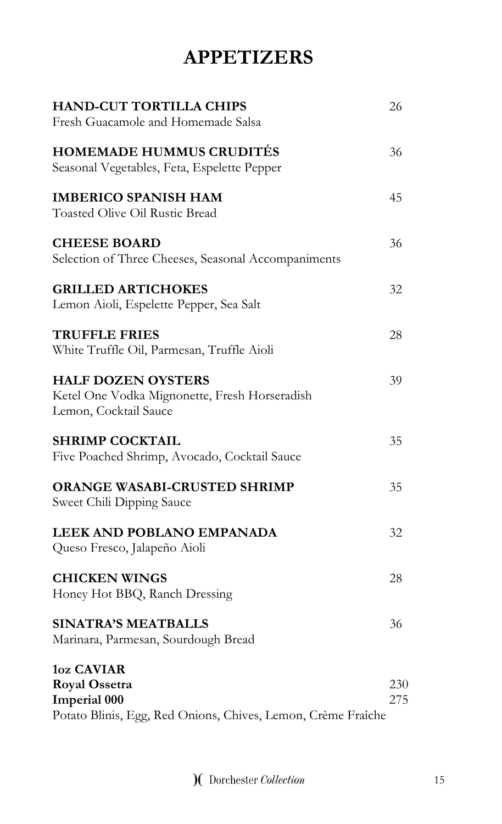# **APPETIZERS**

| <b>HAND-CUT TORTILLA CHIPS</b><br>Fresh Guacamole and Homemade Salsa                                                             | 26         |
|----------------------------------------------------------------------------------------------------------------------------------|------------|
| <b>HOMEMADE HUMMUS CRUDITÉS</b><br>Seasonal Vegetables, Feta, Espelette Pepper                                                   | 36         |
| <b>IMBERICO SPANISH HAM</b><br><b>Toasted Olive Oil Rustic Bread</b>                                                             | 45         |
| <b>CHEESE BOARD</b><br>Selection of Three Cheeses, Seasonal Accompaniments                                                       | 36         |
| <b>GRILLED ARTICHOKES</b><br>Lemon Aioli, Espelette Pepper, Sea Salt                                                             | 32         |
| <b>TRUFFLE FRIES</b><br>White Truffle Oil, Parmesan, Truffle Aioli                                                               | 28         |
| <b>HALF DOZEN OYSTERS</b><br>Ketel One Vodka Mignonette, Fresh Horseradish<br>Lemon, Cocktail Sauce                              | 39         |
| <b>SHRIMP COCKTAIL</b><br>Five Poached Shrimp, Avocado, Cocktail Sauce                                                           | 35         |
| ORANGE WASABI-CRUSTED SHRIMP<br>Sweet Chili Dipping Sauce                                                                        | 35         |
| LEEK AND POBLANO EMPANADA<br>Queso Fresco, Jalapeño Aioli                                                                        | 32         |
| <b>CHICKEN WINGS</b><br>Honey Hot BBQ, Ranch Dressing                                                                            | 28         |
| <b>SINATRA'S MEATBALLS</b><br>Marinara, Parmesan, Sourdough Bread                                                                | 36         |
| <b>1oz CAVIAR</b><br><b>Royal Ossetra</b><br><b>Imperial 000</b><br>Potato Blinis, Egg, Red Onions, Chives, Lemon, Crème Fraîche | 230<br>275 |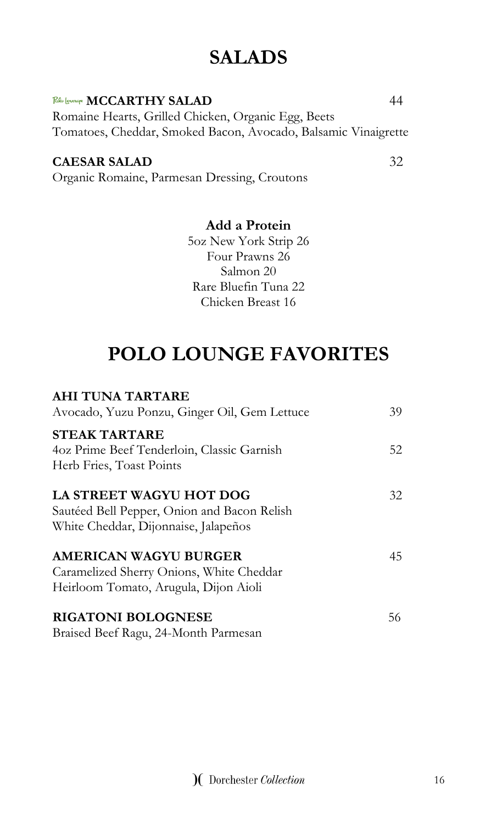# **SALADS**

#### Rh lounge **MCCARTHY SALAD** 44

Romaine Hearts, Grilled Chicken, Organic Egg, Beets Tomatoes, Cheddar, Smoked Bacon, Avocado, Balsamic Vinaigrette

#### **CAESAR SALAD** 32

Organic Romaine, Parmesan Dressing, Croutons

#### **Add a Protein**

5oz New York Strip 26 Four Prawns 26 Salmon 20 Rare Bluefin Tuna 22 Chicken Breast 16

# **POLO LOUNGE FAVORITES**

### **AHI TUNA TARTARE**  Avocado, Yuzu Ponzu, Ginger Oil, Gem Lettuce 39 **STEAK TARTARE** 4oz Prime Beef Tenderloin, Classic Garnish 52 Herb Fries, Toast Points **LA STREET WAGYU HOT DOG** 32 Sautéed Bell Pepper, Onion and Bacon Relish White Cheddar, Dijonnaise, Jalapeños **AMERICAN WAGYU BURGER** 45 Caramelized Sherry Onions, White Cheddar Heirloom Tomato, Arugula, Dijon Aioli **RIGATONI BOLOGNESE** 56 Braised Beef Ragu, 24-Month Parmesan